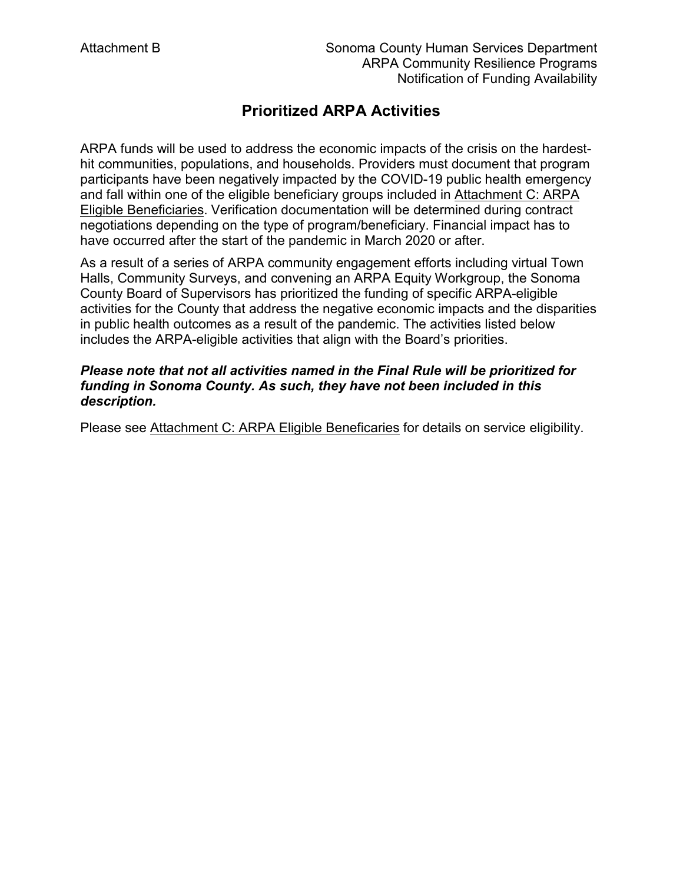# **Prioritized ARPA Activities**

 hit communities, populations, and households. Providers must document that program ARPA funds will be used to address the economic impacts of the crisis on the hardestparticipants have been negatively impacted by the COVID-19 public health emergency and fall within one of the eligible beneficiary groups included in Attachment C: ARPA Eligible Beneficiaries. Verification documentation will be determined during contract negotiations depending on the type of program/beneficiary. Financial impact has to have occurred after the start of the pandemic in March 2020 or after.

 in public health outcomes as a result of the pandemic. The activities listed below As a result of a series of ARPA community engagement efforts including virtual Town Halls, Community Surveys, and convening an ARPA Equity Workgroup, the Sonoma County Board of Supervisors has prioritized the funding of specific ARPA-eligible activities for the County that address the negative economic impacts and the disparities includes the ARPA-eligible activities that align with the Board's priorities.

#### *Please note that not all activities named in the Final Rule will be prioritized for funding in Sonoma County. As such, they have not been included in this description.*

Please see Attachment C: ARPA Eligible Beneficaries for details on service eligibility.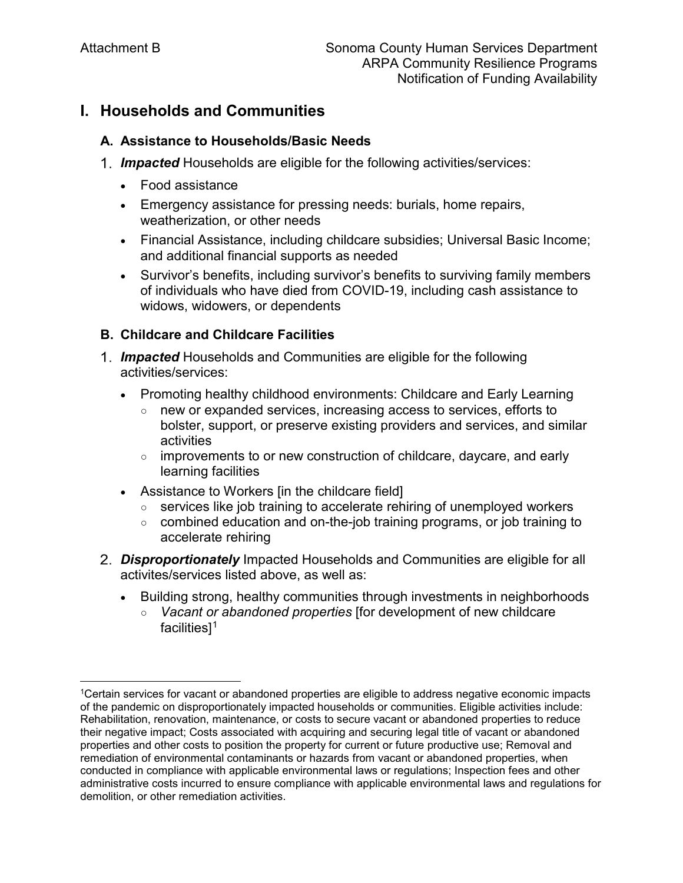l

## **I. Households and Communities**

#### **A. Assistance to Households/Basic Needs**

- *Impacted* Households are eligible for the following activities/services:
	- Food assistance
	- Emergency assistance for pressing needs: burials, home repairs, weatherization, or other needs
	- and additional financial supports as needed • Financial Assistance, including childcare subsidies; Universal Basic Income;
	- Survivor's benefits, including survivor's benefits to surviving family members of individuals who have died from COVID-19, including cash assistance to widows, widowers, or dependents

#### **B. Childcare and Childcare Facilities**

- *Impacted* Households and Communities are eligible for the following activities/services:
	- Promoting healthy childhood environments: Childcare and Early Learning
		- new or expanded services, increasing access to services, efforts to bolster, support, or preserve existing providers and services, and similar activities
		- $\circ$  improvements to or new construction of childcare, daycare, and early learning facilities
	- Assistance to Workers [in the childcare field]
		- services like job training to accelerate rehiring of unemployed workers
		- combined education and on-the-job training programs, or job training to accelerate rehiring
- *Disproportionately* Impacted Households and Communities are eligible for all activites/services listed above, as well as:
	- Building strong, healthy communities through investments in neighborhoods
		- *Vacant or abandoned properties* [for development of new childcare facilities][1](#page-1-0)

<span id="page-1-0"></span> of the pandemic on disproportionately impacted households or communities. Eligible activities include: <sup>1</sup>Certain services for vacant or abandoned properties are eligible to address negative economic impacts Rehabilitation, renovation, maintenance, or costs to secure vacant or abandoned properties to reduce their negative impact; Costs associated with acquiring and securing legal title of vacant or abandoned properties and other costs to position the property for current or future productive use; Removal and remediation of environmental contaminants or hazards from vacant or abandoned properties, when conducted in compliance with applicable environmental laws or regulations; Inspection fees and other administrative costs incurred to ensure compliance with applicable environmental laws and regulations for demolition, or other remediation activities.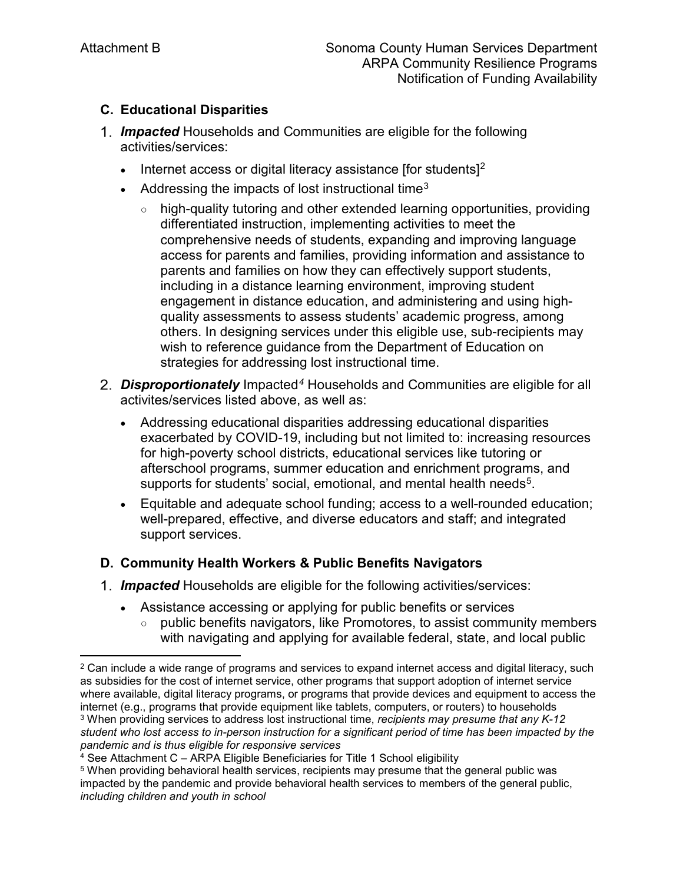$\overline{\phantom{a}}$ 

### **C. Educational Disparities**

- *Impacted* Households and Communities are eligible for the following activities/services:
	- Internet access or digital literacy assistance [for students] $2$
	- Addressing the impacts of lost instructional time<sup>3</sup>
		- strategies for addressing lost instructional time. ○ high-quality tutoring and other extended learning opportunities, providing differentiated instruction, implementing activities to meet the comprehensive needs of students, expanding and improving language access for parents and families, providing information and assistance to parents and families on how they can effectively support students, including in a distance learning environment, improving student engagement in distance education, and administering and using highquality assessments to assess students' academic progress, among others. In designing services under this eligible use, sub-recipients may wish to reference guidance from the Department of Education on
- *Disproportionately* Impacted*<sup>4</sup>*Households and Communities are eligible for all activites/services listed above, as well as:
	- Addressing educational disparities addressing educational disparities exacerbated by COVID-19, including but not limited to: increasing resources for high-poverty school districts, educational services like tutoring or afterschool programs, summer education and enrichment programs, and supports for students' social, emotional, and mental health needs<sup>5</sup>.
	- Equitable and adequate school funding; access to a well-rounded education; well-prepared, effective, and diverse educators and staff; and integrated support services.

### **D. Community Health Workers & Public Benefits Navigators**

- *Impacted* Households are eligible for the following activities/services:
	- Assistance accessing or applying for public benefits or services
		- with navigating and applying for available federal, state, and local public ○ public benefits navigators, like Promotores, to assist community members

 where available, digital literacy programs, or programs that provide devices and equipment to access the 3 When providing services to address lost instructional time, *recipients may presume that any K-12*   $2$  Can include a wide range of programs and services to expand internet access and digital literacy, such as subsidies for the cost of internet service, other programs that support adoption of internet service internet (e.g., programs that provide equipment like tablets, computers, or routers) to households *student who lost access to in-person instruction for a significant period of time has been impacted by the pandemic and is thus eligible for responsive services* 

 4 See Attachment C – ARPA Eligible Beneficiaries for Title 1 School eligibility

 $^{\rm 5}$  When providing behavioral health services, recipients may presume that the general public was impacted by the pandemic and provide behavioral health services to members of the general public, *including children and youth in school*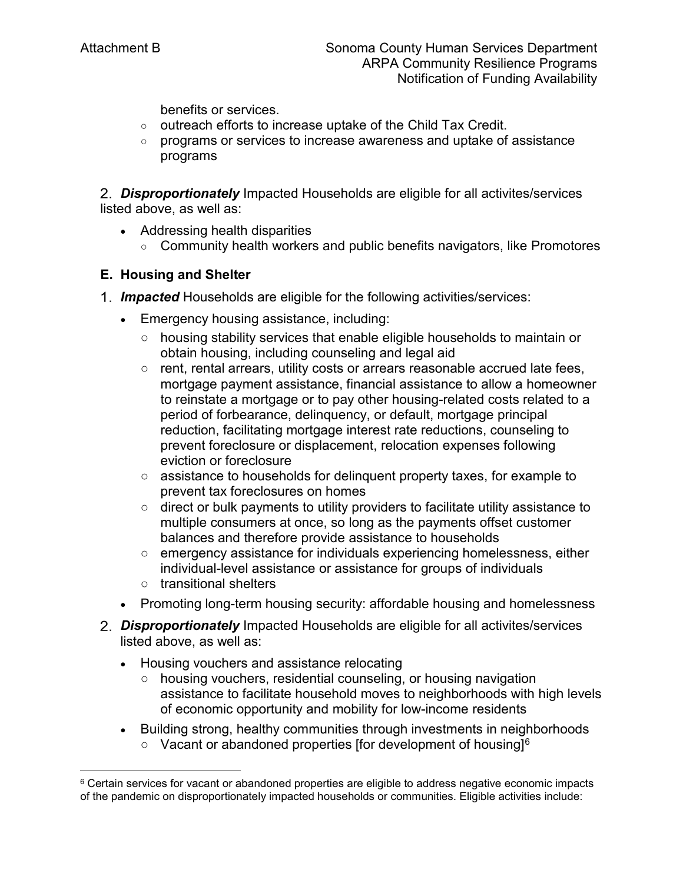benefits or services.

- $\circ$  outreach efforts to increase uptake of the Child Tax Credit.
- programs or services to increase awareness and uptake of assistance programs

*Disproportionately* Impacted Households are eligible for all activites/services listed above, as well as:

- Addressing health disparities
	- Community health workers and public benefits navigators, like Promotores

### **E. Housing and Shelter**

- *Impacted* Households are eligible for the following activities/services:
	- Emergency housing assistance, including:
		- housing stability services that enable eligible households to maintain or obtain housing, including counseling and legal aid
		- rent, rental arrears, utility costs or arrears reasonable accrued late fees, mortgage payment assistance, financial assistance to allow a homeowner to reinstate a mortgage or to pay other housing-related costs related to a period of forbearance, delinquency, or default, mortgage principal reduction, facilitating mortgage interest rate reductions, counseling to prevent foreclosure or displacement, relocation expenses following eviction or foreclosure
		- assistance to households for delinquent property taxes, for example to prevent tax foreclosures on homes
		- direct or bulk payments to utility providers to facilitate utility assistance to multiple consumers at once, so long as the payments offset customer balances and therefore provide assistance to households
		- emergency assistance for individuals experiencing homelessness, either individual-level assistance or assistance for groups of individuals
		- transitional shelters

l

- Promoting long-term housing security: affordable housing and homelessness
- *Disproportionately* Impacted Households are eligible for all activites/services listed above, as well as:
	- Housing vouchers and assistance relocating
		- housing vouchers, residential counseling, or housing navigation assistance to facilitate household moves to neighborhoods with high levels of economic opportunity and mobility for low-income residents
	- Building strong, healthy communities through investments in neighborhoods  $\circ$  Vacant or abandoned properties [for development of housing]<sup>6</sup>

<sup>&</sup>lt;sup>6</sup> Certain services for vacant or abandoned properties are eligible to address negative economic impacts of the pandemic on disproportionately impacted households or communities. Eligible activities include: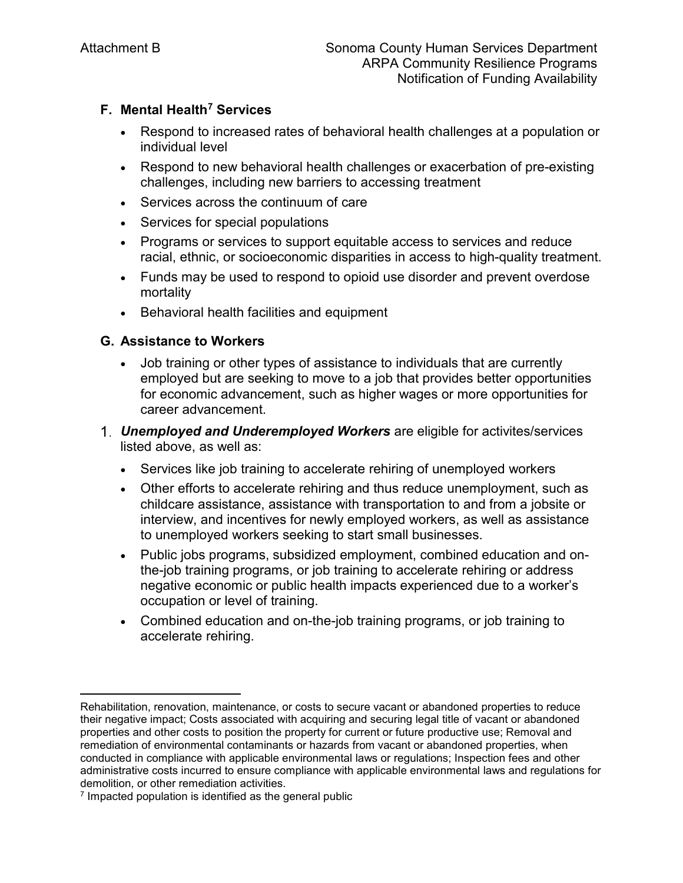### **F. Mental Health7 Services**

- Respond to increased rates of behavioral health challenges at a population or individual level
- Respond to new behavioral health challenges or exacerbation of pre-existing challenges, including new barriers to accessing treatment
- Services across the continuum of care
- Services for special populations
- Programs or services to support equitable access to services and reduce racial, ethnic, or socioeconomic disparities in access to high-quality treatment.
- Funds may be used to respond to opioid use disorder and prevent overdose mortality
- Behavioral health facilities and equipment

### **G. Assistance to Workers**

- for economic advancement, such as higher wages or more opportunities for • Job training or other types of assistance to individuals that are currently employed but are seeking to move to a job that provides better opportunities career advancement.
- listed above, as well as: *Unemployed and Underemployed Workers* are eligible for activites/services
	- Services like job training to accelerate rehiring of unemployed workers
	- • Other efforts to accelerate rehiring and thus reduce unemployment, such as childcare assistance, assistance with transportation to and from a jobsite or interview, and incentives for newly employed workers, as well as assistance to unemployed workers seeking to start small businesses.
	- • Public jobs programs, subsidized employment, combined education and on- negative economic or public health impacts experienced due to a worker's the-job training programs, or job training to accelerate rehiring or address occupation or level of training.
	- Combined education and on-the-job training programs, or job training to accelerate rehiring.

l

Rehabilitation, renovation, maintenance, or costs to secure vacant or abandoned properties to reduce their negative impact; Costs associated with acquiring and securing legal title of vacant or abandoned properties and other costs to position the property for current or future productive use; Removal and remediation of environmental contaminants or hazards from vacant or abandoned properties, when conducted in compliance with applicable environmental laws or regulations; Inspection fees and other administrative costs incurred to ensure compliance with applicable environmental laws and regulations for demolition, or other remediation activities.

<sup>7</sup> Impacted population is identified as the general public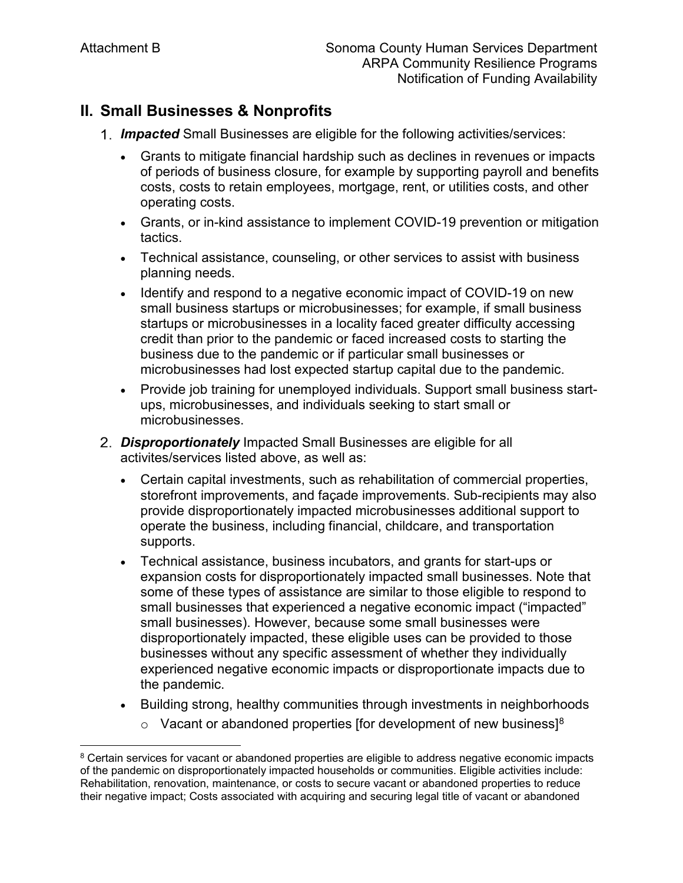## **II. Small Businesses & Nonprofits**

- *Impacted* Small Businesses are eligible for the following activities/services:
	- • Grants to mitigate financial hardship such as declines in revenues or impacts of periods of business closure, for example by supporting payroll and benefits costs, costs to retain employees, mortgage, rent, or utilities costs, and other operating costs.
	- tactics. • Grants, or in-kind assistance to implement COVID-19 prevention or mitigation
	- • Technical assistance, counseling, or other services to assist with business planning needs.
	- business due to the pandemic or if particular small businesses or • Identify and respond to a negative economic impact of COVID-19 on new small business startups or microbusinesses; for example, if small business startups or microbusinesses in a locality faced greater difficulty accessing credit than prior to the pandemic or faced increased costs to starting the microbusinesses had lost expected startup capital due to the pandemic.
	- Provide job training for unemployed individuals. Support small business startups, microbusinesses, and individuals seeking to start small or microbusinesses.
- *Disproportionately* Impacted Small Businesses are eligible for all activites/services listed above, as well as:
	- Certain capital investments, such as rehabilitation of commercial properties, storefront improvements, and façade improvements. Sub-recipients may also provide disproportionately impacted microbusinesses additional support to operate the business, including financial, childcare, and transportation supports.
	- • Technical assistance, business incubators, and grants for start-ups or expansion costs for disproportionately impacted small businesses. Note that some of these types of assistance are similar to those eligible to respond to small businesses that experienced a negative economic impact ("impacted" small businesses). However, because some small businesses were disproportionately impacted, these eligible uses can be provided to those businesses without any specific assessment of whether they individually experienced negative economic impacts or disproportionate impacts due to the pandemic.
	- Building strong, healthy communities through investments in neighborhoods
		- $\circ$  Vacant or abandoned properties [for development of new business]<sup>8</sup>

<span id="page-5-0"></span>l of the pandemic on disproportionately impacted households or communities. Eligible activities include: <sup>8</sup> Certain services for vacant or abandoned properties are eligible to address negative economic impacts Rehabilitation, renovation, maintenance, or costs to secure vacant or abandoned properties to reduce their negative impact; Costs associated with acquiring and securing legal title of vacant or abandoned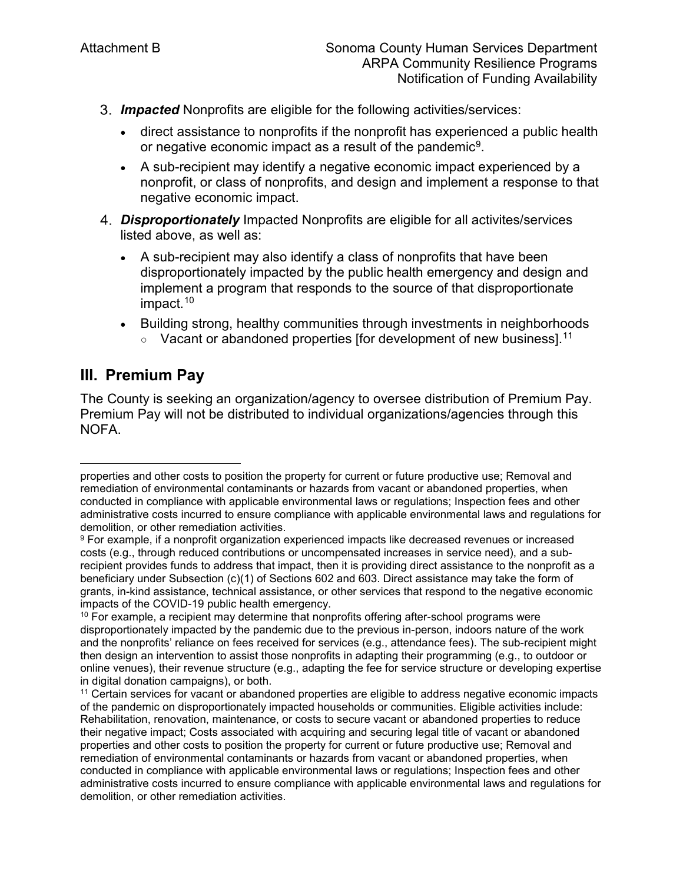- *Impacted* Nonprofits are eligible for the following activities/services:
	- • direct assistance to nonprofits if the nonprofit has experienced a public health or negative economic impact as a result of the pandemic<sup>[9](#page-6-0)</sup>.
	- A sub-recipient may identify a negative economic impact experienced by a nonprofit, or class of nonprofits, and design and implement a response to that negative economic impact.
- *Disproportionately* Impacted Nonprofits are eligible for all activites/services listed above, as well as:
	- impact.<sup>[10](#page-6-1)</sup> • A sub-recipient may also identify a class of nonprofits that have been disproportionately impacted by the public health emergency and design and implement a program that responds to the source of that disproportionate
	- Building strong, healthy communities through investments in neighborhoods  $\circ$  Vacant or abandoned properties [for development of new business].<sup>11</sup>

# **III. Premium Pay**

 $\overline{\phantom{a}}$ 

The County is seeking an organization/agency to oversee distribution of Premium Pay. Premium Pay will not be distributed to individual organizations/agencies through this NOFA.

properties and other costs to position the property for current or future productive use; Removal and remediation of environmental contaminants or hazards from vacant or abandoned properties, when conducted in compliance with applicable environmental laws or regulations; Inspection fees and other administrative costs incurred to ensure compliance with applicable environmental laws and regulations for demolition, or other remediation activities.

<span id="page-6-0"></span> $^9$  For example, if a nonprofit organization experienced impacts like decreased revenues or increased costs (e.g., through reduced contributions or uncompensated increases in service need), and a subrecipient provides funds to address that impact, then it is providing direct assistance to the nonprofit as a beneficiary under Subsection (c)(1) of Sections 602 and 603. Direct assistance may take the form of grants, in-kind assistance, technical assistance, or other services that respond to the negative economic impacts of the COVID-19 public health emergency.

<span id="page-6-1"></span> then design an intervention to assist those nonprofits in adapting their programming (e.g., to outdoor or  $10$  For example, a recipient may determine that nonprofits offering after-school programs were disproportionately impacted by the pandemic due to the previous in-person, indoors nature of the work and the nonprofits' reliance on fees received for services (e.g., attendance fees). The sub-recipient might online venues), their revenue structure (e.g., adapting the fee for service structure or developing expertise in digital donation campaigns), or both.

<span id="page-6-2"></span> of the pandemic on disproportionately impacted households or communities. Eligible activities include: <sup>11</sup> Certain services for vacant or abandoned properties are eligible to address negative economic impacts Rehabilitation, renovation, maintenance, or costs to secure vacant or abandoned properties to reduce their negative impact; Costs associated with acquiring and securing legal title of vacant or abandoned properties and other costs to position the property for current or future productive use; Removal and remediation of environmental contaminants or hazards from vacant or abandoned properties, when conducted in compliance with applicable environmental laws or regulations; Inspection fees and other administrative costs incurred to ensure compliance with applicable environmental laws and regulations for demolition, or other remediation activities.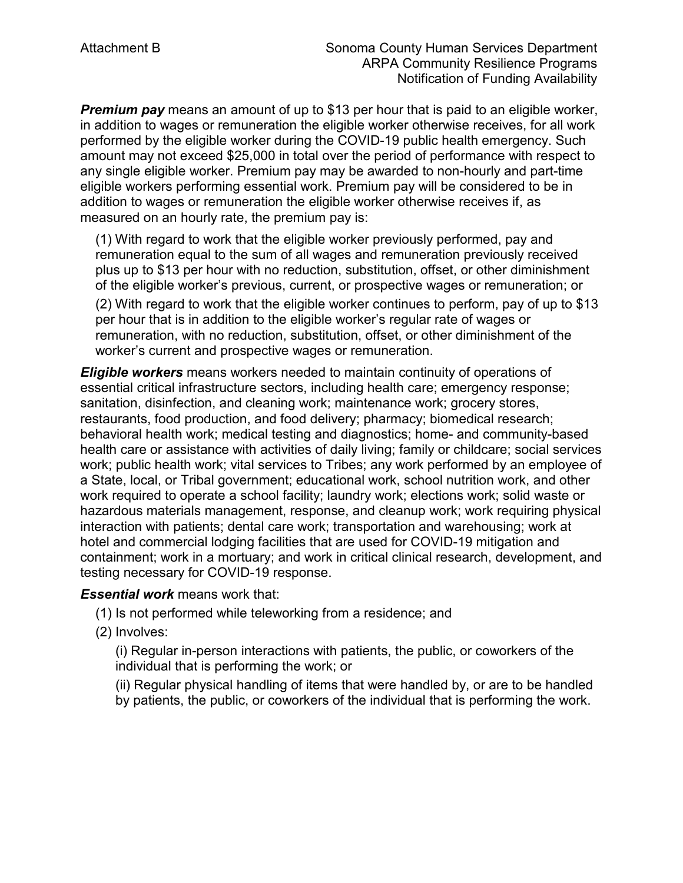*Premium pay* means an amount of up to \$13 per hour that is paid to an eligible worker, in addition to wages or remuneration the eligible worker otherwise receives, for all work performed by the eligible worker during the COVID-19 public health emergency. Such amount may not exceed \$25,000 in total over the period of performance with respect to any single eligible worker. Premium pay may be awarded to non-hourly and part-time eligible workers performing essential work. Premium pay will be considered to be in addition to wages or remuneration the eligible worker otherwise receives if, as measured on an hourly rate, the premium pay is:

 remuneration equal to the sum of all wages and remuneration previously received plus up to \$13 per hour with no reduction, substitution, offset, or other diminishment remuneration, with no reduction, substitution, offset, or other diminishment of the (1) With regard to work that the eligible worker previously performed, pay and of the eligible worker's previous, current, or prospective wages or remuneration; or (2) With regard to work that the eligible worker continues to perform, pay of up to \$13 per hour that is in addition to the eligible worker's regular rate of wages or worker's current and prospective wages or remuneration.

*Eligible workers* means workers needed to maintain continuity of operations of essential critical infrastructure sectors, including health care; emergency response; sanitation, disinfection, and cleaning work; maintenance work; grocery stores, restaurants, food production, and food delivery; pharmacy; biomedical research; behavioral health work; medical testing and diagnostics; home- and community-based health care or assistance with activities of daily living; family or childcare; social services work; public health work; vital services to Tribes; any work performed by an employee of a State, local, or Tribal government; educational work, school nutrition work, and other work required to operate a school facility; laundry work; elections work; solid waste or hazardous materials management, response, and cleanup work; work requiring physical interaction with patients; dental care work; transportation and warehousing; work at hotel and commercial lodging facilities that are used for COVID-19 mitigation and containment; work in a mortuary; and work in critical clinical research, development, and testing necessary for COVID-19 response.

#### *Essential work* means work that:

(1) Is not performed while teleworking from a residence; and

(2) Involves:

(i) Regular in-person interactions with patients, the public, or coworkers of the individual that is performing the work; or

(ii) Regular physical handling of items that were handled by, or are to be handled by patients, the public, or coworkers of the individual that is performing the work.